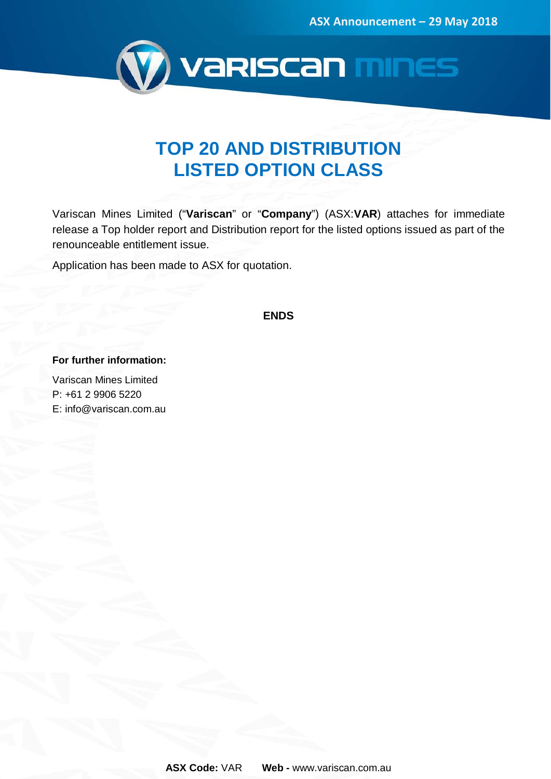

### **TOP 20 AND DISTRIBUTION LISTED OPTION CLASS**

Variscan Mines Limited ("**Variscan**" or "**Company**") (ASX:**VAR**) attaches for immediate release a Top holder report and Distribution report for the listed options issued as part of the renounceable entitlement issue.

Application has been made to ASX for quotation.

**ENDS**

**For further information:**

Variscan Mines Limited P: +61 2 9906 5220 E: info@variscan.com.au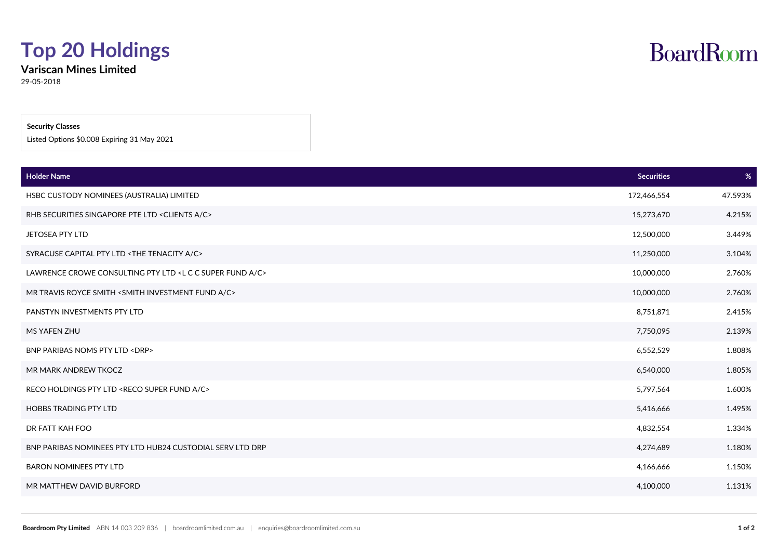### **Top 20 Holdings**

**Variscan Mines Limited**

29-05-2018

#### **Security Classes**

Listed Options \$0.008 Expiring 31 May 2021

| <b>Holder Name</b>                                                    | <b>Securities</b> | %       |
|-----------------------------------------------------------------------|-------------------|---------|
| HSBC CUSTODY NOMINEES (AUSTRALIA) LIMITED                             | 172,466,554       | 47.593% |
| RHB SECURITIES SINGAPORE PTE LTD <clients a="" c=""></clients>        | 15,273,670        | 4.215%  |
| <b>JETOSEA PTY LTD</b>                                                | 12,500,000        | 3.449%  |
| SYRACUSE CAPITAL PTY LTD <the a="" c="" tenacity=""></the>            | 11,250,000        | 3.104%  |
| LAWRENCE CROWE CONSULTING PTY LTD <l a="" c="" fund="" super=""></l>  | 10,000,000        | 2.760%  |
| MR TRAVIS ROYCE SMITH <smith a="" c="" fund="" investment=""></smith> | 10,000,000        | 2.760%  |
| PANSTYN INVESTMENTS PTY LTD                                           | 8,751,871         | 2.415%  |
| MS YAFEN ZHU                                                          | 7,750,095         | 2.139%  |
| BNP PARIBAS NOMS PTY LTD <drp></drp>                                  | 6,552,529         | 1.808%  |
| MR MARK ANDREW TKOCZ                                                  | 6,540,000         | 1.805%  |
| RECO HOLDINGS PTY LTD <reco a="" c="" fund="" super=""></reco>        | 5,797,564         | 1.600%  |
| <b>HOBBS TRADING PTY LTD</b>                                          | 5,416,666         | 1.495%  |
| DR FATT KAH FOO                                                       | 4,832,554         | 1.334%  |
| BNP PARIBAS NOMINEES PTY LTD HUB24 CUSTODIAL SERV LTD DRP             | 4,274,689         | 1.180%  |
| <b>BARON NOMINEES PTY LTD</b>                                         | 4,166,666         | 1.150%  |
| MR MATTHEW DAVID BURFORD                                              | 4,100,000         | 1.131%  |

## **BoardRoom**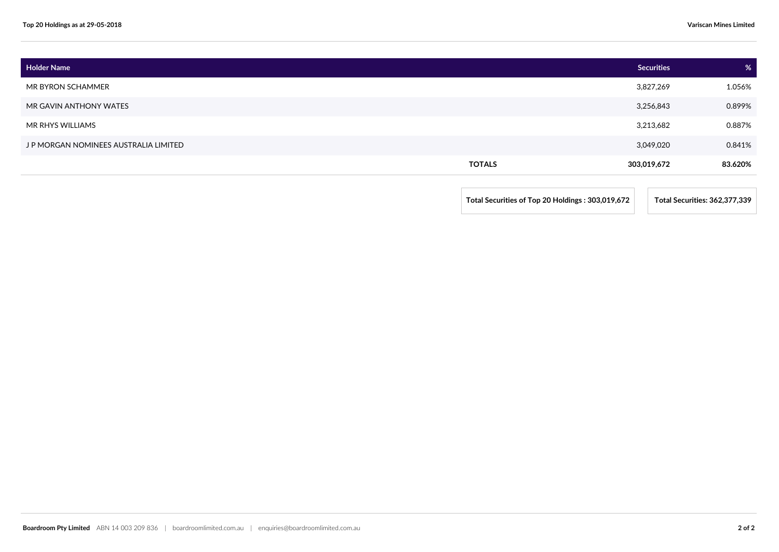| <b>Holder Name</b>                    |               | <b>Securities</b> | %       |
|---------------------------------------|---------------|-------------------|---------|
| MR BYRON SCHAMMER                     |               | 3,827,269         | 1.056%  |
| MR GAVIN ANTHONY WATES                |               | 3,256,843         | 0.899%  |
| MR RHYS WILLIAMS                      |               | 3,213,682         | 0.887%  |
| J P MORGAN NOMINEES AUSTRALIA LIMITED |               | 3,049,020         | 0.841%  |
|                                       | <b>TOTALS</b> | 303,019,672       | 83.620% |
|                                       |               |                   |         |

**Total Securities of Top 20 Holdings : 303,019,672 Total Securities: 362,377,339**